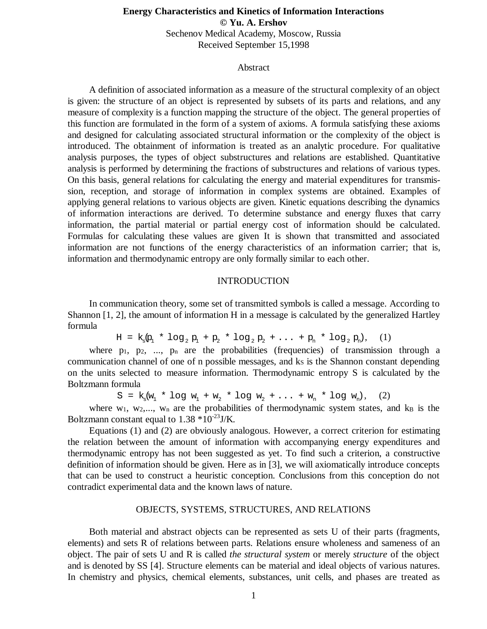# **Energy Characteristics and Kinetics of Information Interactions © Yu. A. Ershov** Sechenov Medical Academy, Moscow, Russia Received September 15,1998

## Abstract

A definition of associated information as a measure of the structural complexity of an object is given: the structure of an object is represented by subsets of its parts and relations, and any measure of complexity is a function mapping the structure of the object. The general properties of this function are formulated in the form of a system of axioms. A formula satisfying these axioms and designed for calculating associated structural information or the complexity of the object is introduced. The obtainment of information is treated as an analytic procedure. For qualitative analysis purposes, the types of object substructures and relations are established. Quantitative analysis is performed by determining the fractions of substructures and relations of various types. On this basis, general relations for calculating the energy and material expenditures for transmission, reception, and storage of information in complex systems are obtained. Examples of applying general relations to various objects are given. Kinetic equations describing the dynamics of information interactions are derived. To determine substance and energy fluxes that carry information, the partial material or partial energy cost of information should be calculated. Formulas for calculating these values are given It is shown that transmitted and associated information are not functions of the energy characteristics of an information carrier; that is, information and thermodynamic entropy are only formally similar to each other.

#### INTRODUCTION

In communication theory, some set of transmitted symbols is called a message. According to Shannon [1, 2], the amount of information H in a message is calculated by the generalized Hartley formula

 $H = k_s p_1 * log_2 p_1 + p_2 * log_2 p_2 + ... + p_n * log_2 p_n,$  (1)

where  $p_1$ ,  $p_2$ , ...,  $p_n$  are the probabilities (frequencies) of transmission through a communication channel of one of n possible messages, and ks is the Shannon constant depending on the units selected to measure information. Thermodynamic entropy S is calculated by the Boltzmann formula

 $S = k_s(w_1 * log w_1 + w_2 * log w_2 + ... + w_n * log w_n),$  (2)

where  $w_1$ ,  $w_2$ ,...,  $w_n$  are the probabilities of thermodynamic system states, and  $k_B$  is the Boltzmann constant equal to  $1.38 * 10^{-23}$  J/K.

Equations (1) and (2) are obviously analogous. However, a correct criterion for estimating the relation between the amount of information with accompanying energy expenditures and thermodynamic entropy has not been suggested as yet. To find such a criterion, a constructive definition of information should be given. Here as in [3], we will axiomatically introduce concepts that can be used to construct a heuristic conception. Conclusions from this conception do not contradict experimental data and the known laws of nature.

## OBJECTS, SYSTEMS, STRUCTURES, AND RELATIONS

Both material and abstract objects can be represented as sets U of their parts (fragments, elements) and sets R of relations between parts. Relations ensure wholeness and sameness of an object. The pair of sets U and R is called *the structural system* or merely *structure* of the object and is denoted by SS [4]. Structure elements can be material and ideal objects of various natures. In chemistry and physics, chemical elements, substances, unit cells, and phases are treated as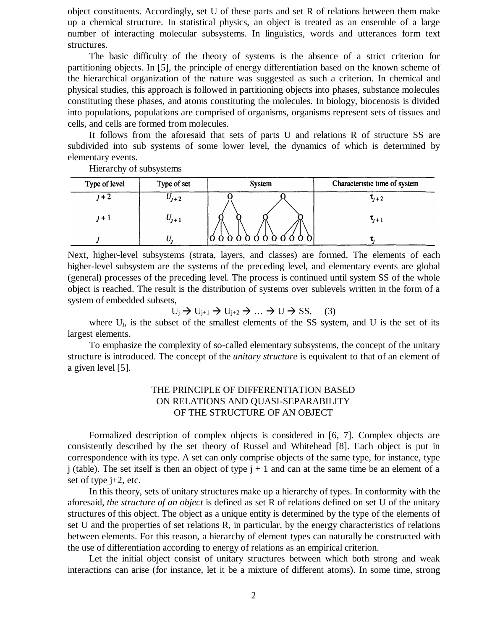object constituents. Accordingly, set U of these parts and set R of relations between them make up a chemical structure. In statistical physics, an object is treated as an ensemble of a large number of interacting molecular subsystems. In linguistics, words and utterances form text structures.

The basic difficulty of the theory of systems is the absence of a strict criterion for partitioning objects. In [5], the principle of energy differentiation based on the known scheme of the hierarchical organization of the nature was suggested as such a criterion. In chemical and physical studies, this approach is followed in partitioning objects into phases, substance molecules constituting these phases, and atoms constituting the molecules. In biology, biocenosis is divided into populations, populations are comprised of organisms, organisms represent sets of tissues and cells, and cells are formed from molecules.

It follows from the aforesaid that sets of parts U and relations R of structure SS are subdivided into sub systems of some lower level, the dynamics of which is determined by elementary events.

Hierarchy of subsystems

| Type of level | Type of set | <b>System</b> | Characteristic time of system |
|---------------|-------------|---------------|-------------------------------|
|               | $U_{1+2}$   |               | $\tau_{i+2}$                  |
| 1 + I         | $U_{j+1}$   |               | $\tau_{j+1}$                  |
|               |             |               |                               |

Next, higher-level subsystems (strata, layers, and classes) are formed. The elements of each higher-level subsystem are the systems of the preceding level, and elementary events are global (general) processes of the preceding level. The process is continued until system SS of the whole object is reached. The result is the distribution of systems over sublevels written in the form of a system of embedded subsets,

 $U_j \rightarrow U_{j+1} \rightarrow U_{j+2} \rightarrow \dots \rightarrow U \rightarrow SS,$  (3)

where Uj, is the subset of the smallest elements of the SS system, and U is the set of its largest elements.

To emphasize the complexity of so-called elementary subsystems, the concept of the unitary structure is introduced. The concept of the *unitary structure* is equivalent to that of an element of a given level [5].

# THE PRINCIPLE OF DIFFERENTIATION BASED ON RELATIONS AND QUASI-SEPARABILITY OF THE STRUCTURE OF AN OBJECT

Formalized description of complex objects is considered in [6, 7]. Complex objects are consistently described by the set theory of Russel and Whitehead [8]. Each object is put in correspondence with its type. A set can only comprise objects of the same type, for instance, type j (table). The set itself is then an object of type  $j + 1$  and can at the same time be an element of a set of type j+2, etc.

In this theory, sets of unitary structures make up a hierarchy of types. In conformity with the aforesaid, *the structure of an object* is defined as set R of relations defined on set U of the unitary structures of this object. The object as a unique entity is determined by the type of the elements of set U and the properties of set relations R, in particular, by the energy characteristics of relations between elements. For this reason, a hierarchy of element types can naturally be constructed with the use of differentiation according to energy of relations as an empirical criterion.

Let the initial object consist of unitary structures between which both strong and weak interactions can arise (for instance, let it be a mixture of different atoms). In some time, strong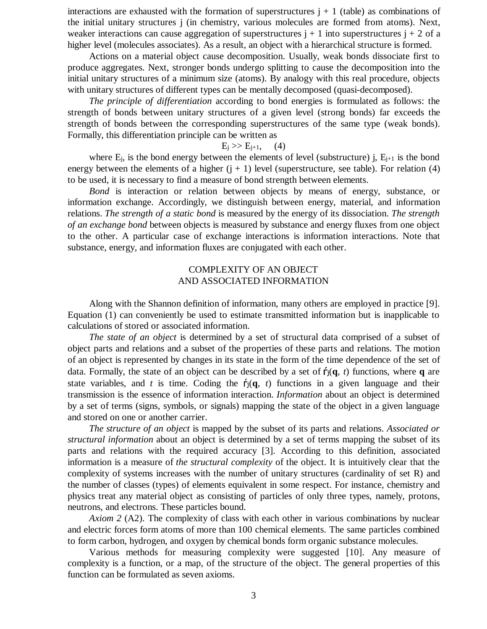interactions are exhausted with the formation of superstructures  $j + 1$  (table) as combinations of the initial unitary structures j (in chemistry, various molecules are formed from atoms). Next, weaker interactions can cause aggregation of superstructures  $j + 1$  into superstructures  $j + 2$  of a higher level (molecules associates). As a result, an object with a hierarchical structure is formed.

Actions on a material object cause decomposition. Usually, weak bonds dissociate first to produce aggregates. Next, stronger bonds undergo splitting to cause the decomposition into the initial unitary structures of a minimum size (atoms). By analogy with this real procedure, objects with unitary structures of different types can be mentally decomposed (quasi-decomposed).

*The principle of differentiation* according to bond energies is formulated as follows: the strength of bonds between unitary structures of a given level (strong bonds) far exceeds the strength of bonds between the corresponding superstructures of the same type (weak bonds). Formally, this differentiation principle can be written as

## $E_i >> E_{i+1}$ , (4)

where  $E_i$ , is the bond energy between the elements of level (substructure) j,  $E_{i+1}$  is the bond energy between the elements of a higher  $(i + 1)$  level (superstructure, see table). For relation (4) to be used, it is necessary to find a measure of bond strength between elements.

*Bond* is interaction or relation between objects by means of energy, substance, or information exchange. Accordingly, we distinguish between energy, material, and information relations. *The strength of a static bond* is measured by the energy of its dissociation. *The strength of an exchange bond* between objects is measured by substance and energy fluxes from one object to the other. A particular case of exchange interactions is information interactions. Note that substance, energy, and information fluxes are conjugated with each other.

# COMPLEXITY OF AN OBJECT AND ASSOCIATED INFORMATION

Along with the Shannon definition of information, many others are employed in practice [9]. Equation (1) can conveniently be used to estimate transmitted information but is inapplicable to calculations of stored or associated information.

*The state of an object* is determined by a set of structural data comprised of a subset of object parts and relations and a subset of the properties of these parts and relations. The motion of an object is represented by changes in its state in the form of the time dependence of the set of data. Formally, the state of an object can be described by a set of  $f_1(q, t)$  functions, where q are state variables, and *t* is time. Coding the  $f_1(q, t)$  functions in a given language and their transmission is the essence of information interaction. *Information* about an object is determined by a set of terms (signs, symbols, or signals) mapping the state of the object in a given language and stored on one or another carrier.

*The structure of an object* is mapped by the subset of its parts and relations. *Associated or structural information* about an object is determined by a set of terms mapping the subset of its parts and relations with the required accuracy [3]. According to this definition, associated information is a measure of *the structural complexity* of the object. It is intuitively clear that the complexity of systems increases with the number of unitary structures (cardinality of set R) and the number of classes (types) of elements equivalent in some respect. For instance, chemistry and physics treat any material object as consisting of particles of only three types, namely, protons, neutrons, and electrons. These particles bound.

*Axiom 2* (A2). The complexity of class with each other in various combinations by nuclear and electric forces form atoms of more than 100 chemical elements. The same particles combined to form carbon, hydrogen, and oxygen by chemical bonds form organic substance molecules.

Various methods for measuring complexity were suggested [10]. Any measure of complexity is a function, or a map, of the structure of the object. The general properties of this function can be formulated as seven axioms.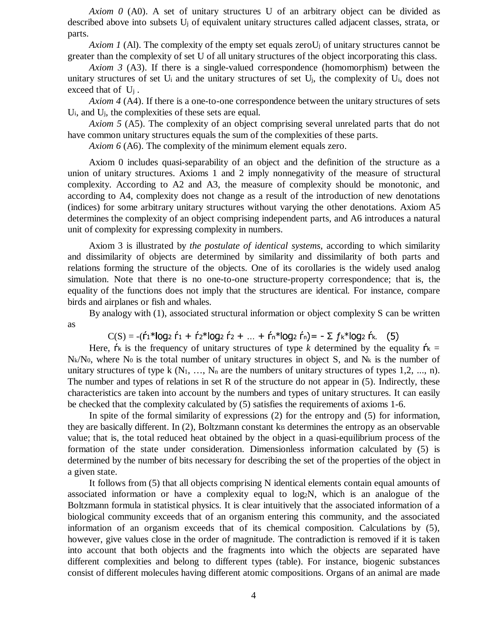*Axiom 0* (A0). A set of unitary structures U of an arbitrary object can be divided as described above into subsets U<sup>j</sup> of equivalent unitary structures called adjacent classes, strata, or parts.

*Axiom 1* (Al). The complexity of the empty set equals zeroU<sub>i</sub> of unitary structures cannot be greater than the complexity of set U of all unitary structures of the object incorporating this class.

*Axiom 3* (A3). If there is a single-valued correspondence (homomorphism) between the unitary structures of set U<sup>i</sup> and the unitary structures of set Uj, the complexity of Ui, does not exceed that of  $U_i$ .

*Axiom 4* (A4). If there is a one-to-one correspondence between the unitary structures of sets Ui, and Uj, the complexities of these sets are equal.

*Axiom 5* (A5). The complexity of an object comprising several unrelated parts that do not have common unitary structures equals the sum of the complexities of these parts.

*Axiom 6* (A6). The complexity of the minimum element equals zero.

Axiom 0 includes quasi-separability of an object and the definition of the structure as a union of unitary structures. Axioms 1 and 2 imply nonnegativity of the measure of structural complexity. According to A2 and A3, the measure of complexity should be monotonic, and according to A4, complexity does not change as a result of the introduction of new denotations (indices) for some arbitrary unitary structures without varying the other denotations. Axiom A5 determines the complexity of an object comprising independent parts, and A6 introduces a natural unit of complexity for expressing complexity in numbers.

Axiom 3 is illustrated by *the postulate of identical systems*, according to which similarity and dissimilarity of objects are determined by similarity and dissimilarity of both parts and relations forming the structure of the objects. One of its corollaries is the widely used analog simulation. Note that there is no one-to-one structure-property correspondence; that is, the equality of the functions does not imply that the structures are identical. For instance, compare birds and airplanes or fish and whales.

By analogy with (1), associated structural information or object complexity S can be written as

 $C(S) = -(f_1 * log_2 f_1 + f_2 * log_2 f_2 + ... + f_n * log_2 f_n) = - \sum f_k * log_2 f_k$  (5)

Here,  $\mathbf{\dot{r}}$  is the frequency of unitary structures of type *k* determined by the equality  $\mathbf{\dot{r}}$  = N<sub>k</sub>/N<sub>0</sub>, where N<sub>0</sub> is the total number of unitary structures in object S, and N<sub>k</sub> is the number of unitary structures of type k  $(N_1, ..., N_n)$  are the numbers of unitary structures of types 1,2, ..., n). The number and types of relations in set R of the structure do not appear in  $(5)$ . Indirectly, these characteristics are taken into account by the numbers and types of unitary structures. It can easily be checked that the complexity calculated by (5) satisfies the requirements of axioms 1-6.

In spite of the formal similarity of expressions (2) for the entropy and (5) for information, they are basically different. In  $(2)$ , Boltzmann constant k<sub>B</sub> determines the entropy as an observable value; that is, the total reduced heat obtained by the object in a quasi-equilibrium process of the formation of the state under consideration. Dimensionless information calculated by (5) is determined by the number of bits necessary for describing the set of the properties of the object in a given state.

It follows from (5) that all objects comprising N identical elements contain equal amounts of associated information or have a complexity equal to log2N, which is an analogue of the Boltzmann formula in statistical physics. It is clear intuitively that the associated information of a biological community exceeds that of an organism entering this community, and the associated information of an organism exceeds that of its chemical composition. Calculations by (5), however, give values close in the order of magnitude. The contradiction is removed if it is taken into account that both objects and the fragments into which the objects are separated have different complexities and belong to different types (table). For instance, biogenic substances consist of different molecules having different atomic compositions. Organs of an animal are made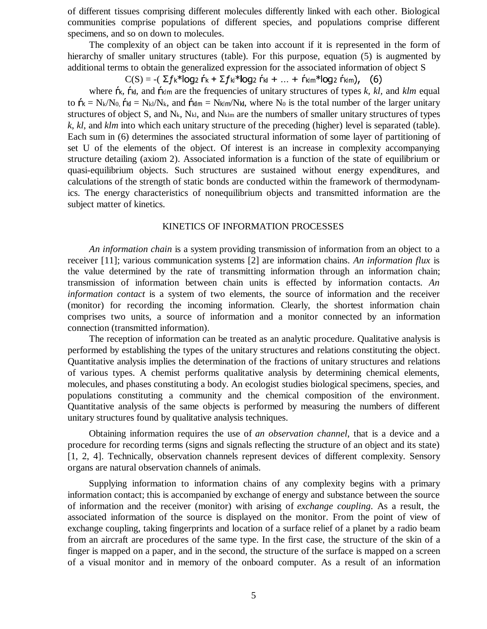of different tissues comprising different molecules differently linked with each other. Biological communities comprise populations of different species, and populations comprise different specimens, and so on down to molecules.

The complexity of an object can be taken into account if it is represented in the form of hierarchy of smaller unitary structures (table). For this purpose, equation (5) is augmented by additional terms to obtain the generalized expression for the associated information of object S

 $\text{C(S)}$  = -(  $\Sigma f$ k\*log2 ŕk +  $\Sigma f$ kl\*log2 ŕkl + ... + ŕklm\*log2 ŕklm), (6)

where  $\mathsf{r}$ <sub>k</sub>,  $\mathsf{r}$ <sub>k</sub>, and  $\mathsf{r}$ <sup>k</sup>k are the frequencies of unitary structures of types *k, kl,* and *klm* equal to  $\mathbf{\dot{r}} = N_k/N_0$ ,  $\mathbf{\dot{r}}$ <sub>kl</sub> = N<sub>kl</sub>/N<sub>k</sub>, and  $\mathbf{\dot{r}}$ <sub>klm</sub> = N<sub>klm</sub>/N<sub>kl</sub>, where N<sub>0</sub> is the total number of the larger unitary structures of object S, and Nk, Nkl, and Nklm are the numbers of smaller unitary structures of types *k*, *kl*, and *klm* into which each unitary structure of the preceding (higher) level is separated (table). Each sum in (6) determines the associated structural information of some layer of partitioning of set U of the elements of the object. Of interest is an increase in complexity accompanying structure detailing (axiom 2). Associated information is a function of the state of equilibrium or quasi-equilibrium objects. Such structures are sustained without energy expenditures, and calculations of the strength of static bonds are conducted within the framework of thermodynamics. The energy characteristics of nonequilibrium objects and transmitted information are the subject matter of kinetics.

#### KINETICS OF INFORMATION PROCESSES

*An information chain* is a system providing transmission of information from an object to a receiver [11]; various communication systems [2] are information chains. *An information flux* is the value determined by the rate of transmitting information through an information chain; transmission of information between chain units is effected by information contacts. *An information contact* is a system of two elements, the source of information and the receiver (monitor) for recording the incoming information. Clearly, the shortest information chain comprises two units, a source of information and a monitor connected by an information connection (transmitted information).

The reception of information can be treated as an analytic procedure. Qualitative analysis is performed by establishing the types of the unitary structures and relations constituting the object. Quantitative analysis implies the determination of the fractions of unitary structures and relations of various types. A chemist performs qualitative analysis by determining chemical elements, molecules, and phases constituting a body. An ecologist studies biological specimens, species, and populations constituting a community and the chemical composition of the environment. Quantitative analysis of the same objects is performed by measuring the numbers of different unitary structures found by qualitative analysis techniques.

Obtaining information requires the use of *an observation channel*, that is a device and a procedure for recording terms (signs and signals reflecting the structure of an object and its state) [1, 2, 4]. Technically, observation channels represent devices of different complexity. Sensory organs are natural observation channels of animals.

Supplying information to information chains of any complexity begins with a primary information contact; this is accompanied by exchange of energy and substance between the source of information and the receiver (monitor) with arising of *exchange coupling*. As a result, the associated information of the source is displayed on the monitor. From the point of view of exchange coupling, taking fingerprints and location of a surface relief of a planet by a radio beam from an aircraft are procedures of the same type. In the first case, the structure of the skin of a finger is mapped on a paper, and in the second, the structure of the surface is mapped on a screen of a visual monitor and in memory of the onboard computer. As a result of an information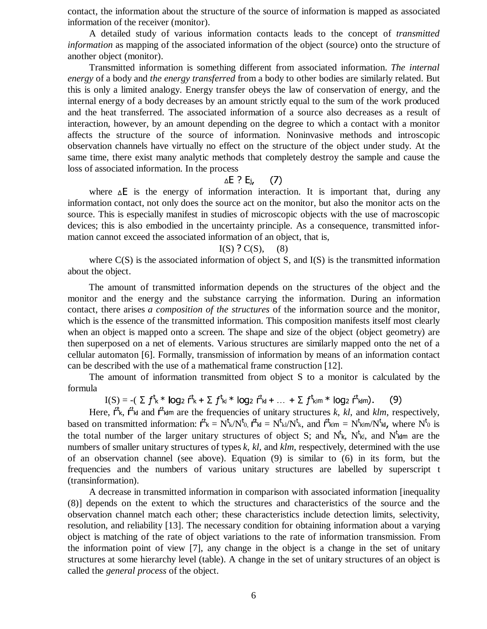contact, the information about the structure of the source of information is mapped as associated information of the receiver (monitor).

A detailed study of various information contacts leads to the concept of *transmitted information* as mapping of the associated information of the object (source) onto the structure of another object (monitor).

Transmitted information is something different from associated information. *The internal energy* of a body and *the energy transferred* from a body to other bodies are similarly related. But this is only a limited analogy. Energy transfer obeys the law of conservation of energy, and the internal energy of a body decreases by an amount strictly equal to the sum of the work produced and the heat transferred. The associated information of a source also decreases as a result of interaction, however, by an amount depending on the degree to which a contact with a monitor affects the structure of the source of information. Noninvasive methods and introscopic observation channels have virtually no effect on the structure of the object under study. At the same time, there exist many analytic methods that completely destroy the sample and cause the loss of associated information. In the process

#### -

where  $\Delta E$  is the energy of information interaction. It is important that, during any information contact, not only does the source act on the monitor, but also the monitor acts on the source. This is especially manifest in studies of microscopic objects with the use of macroscopic devices; this is also embodied in the uncertainty principle. As a consequence, transmitted information cannot exceed the associated information of an object, that is,

#### $I(S) ? C(S), (8)$  $(8)$

where  $C(S)$  is the associated information of object S, and  $I(S)$  is the transmitted information about the object.

The amount of transmitted information depends on the structures of the object and the monitor and the energy and the substance carrying the information. During an information contact, there arises *a composition of the structures* of the information source and the monitor, which is the essence of the transmitted information. This composition manifests itself most clearly when an object is mapped onto a screen. The shape and size of the object (object geometry) are then superposed on a net of elements. Various structures are similarly mapped onto the net of a cellular automaton [6]. Formally, transmission of information by means of an information contact can be described with the use of a mathematical frame construction [12].

The amount of information transmitted from object S to a monitor is calculated by the formula

 $\mathrm{I}(S) = -(\sum f^{\mathrm{t}} k^* \log_2 f^{\mathrm{t}} k + \sum f^{\mathrm{t}} k!^* \log_2 f^{\mathrm{t}} k! + \ldots + \sum f^{\mathrm{t}} k! m^* \log_2 f^{\mathrm{t}} k! m).$  (9)

Here,  $f^{\text{t}}$ <sub>k</sub>,  $f^{\text{t}}$ <sub>kl</sub> and  $f^{\text{t}}$ <sub>klm</sub> are the frequencies of unitary structures *k*, *kl*, and *klm*, respectively, based on transmitted information:  $f^t_k = N^t_k/N^t_0$ ,  $f^t_{kl} = N^t_{kl}N^t_k$ , and  $f^t_{klm} = N^t_{klm}/N^t_{kl}$ , where  $N^t_0$  is the total number of the larger unitary structures of object S; and  $N^t$ k,  $N^t$ kl, and  $N^t$ klm are the numbers of smaller unitary structures of types *k*, *kl*, and *klm*, respectively, determined with the use of an observation channel (see above). Equation (9) is similar to (6) in its form, but the frequencies and the numbers of various unitary structures are labelled by superscript t (transinformation).

A decrease in transmitted information in comparison with associated information [inequality (8)] depends on the extent to which the structures and characteristics of the source and the observation channel match each other; these characteristics include detection limits, selectivity, resolution, and reliability [13]. The necessary condition for obtaining information about a varying object is matching of the rate of object variations to the rate of information transmission. From the information point of view [7], any change in the object is a change in the set of unitary structures at some hierarchy level (table). A change in the set of unitary structures of an object is called the *general process* of the object.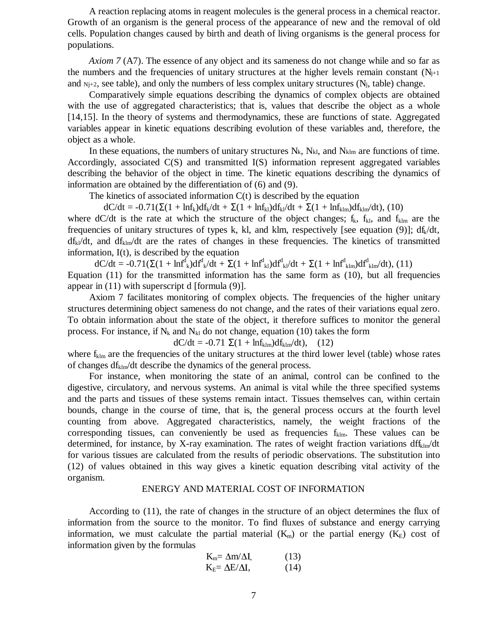A reaction replacing atoms in reagent molecules is the general process in a chemical reactor. Growth of an organism is the general process of the appearance of new and the removal of old cells. Population changes caused by birth and death of living organisms is the general process for populations.

*Axiom 7* (A7). The essence of any object and its sameness do not change while and so far as the numbers and the frequencies of unitary structures at the higher levels remain constant  $(N_{j+1})$ and  $N_{i+2}$ , see table), and only the numbers of less complex unitary structures ( $N_i$ , table) change.

Comparatively simple equations describing the dynamics of complex objects are obtained with the use of aggregated characteristics; that is, values that describe the object as a whole [14,15]. In the theory of systems and thermodynamics, these are functions of state. Aggregated variables appear in kinetic equations describing evolution of these variables and, therefore, the object as a whole.

In these equations, the numbers of unitary structures  $N_k$ ,  $N_{k1}$ , and  $N_{k1m}$  are functions of time. Accordingly, associated C(S) and transmitted I(S) information represent aggregated variables describing the behavior of the object in time. The kinetic equations describing the dynamics of information are obtained by the differentiation of (6) and (9).

The kinetics of associated information  $C(t)$  is described by the equation

 $dC/dt = -0.71(\Sigma(1 + ln f_k)df_k/dt + \Sigma(1 + ln f_{kl})df_k/dt + \Sigma(1 + ln f_{klm})df_k/m/dt)$ , (10)

where dC/dt is the rate at which the structure of the object changes;  $f_k$ ,  $f_{kl}$ , and  $f_{klm}$  are the frequencies of unitary structures of types k, kl, and klm, respectively [see equation (9)];  $df_k/dt$ ,  $df_{kl}/dt$ , and  $df_{klm}/dt$  are the rates of changes in these frequencies. The kinetics of transmitted information, I(t), is described by the equation

 $dC/dt = -0.71(\Sigma(1 + \ln f_{k}^{d})df_{k}/dt + \Sigma(1 + \ln f_{k}^{d})df_{k}/dt + \Sigma(1 + \ln f_{k}^{d})df_{k}^{d}/dt),$  (11) Equation (11) for the transmitted information has the same form as (10), but all frequencies appear in (11) with superscript d [formula (9)].

Axiom 7 facilitates monitoring of complex objects. The frequencies of the higher unitary structures determining object sameness do not change, and the rates of their variations equal zero. To obtain information about the state of the object, it therefore suffices to monitor the general process. For instance, if  $N_k$  and  $N_{kl}$  do not change, equation (10) takes the form

 $dC/dt = -0.71 \Sigma(1 + ln f_{klm})df_{klm}/dt$ , (12)

where  $f_{\text{klm}}$  are the frequencies of the unitary structures at the third lower level (table) whose rates of changes  $df_{\text{klm}}/dt$  describe the dynamics of the general process.

For instance, when monitoring the state of an animal, control can be confined to the digestive, circulatory, and nervous systems. An animal is vital while the three specified systems and the parts and tissues of these systems remain intact. Tissues themselves can, within certain bounds, change in the course of time, that is, the general process occurs at the fourth level counting from above. Aggregated characteristics, namely, the weight fractions of the corresponding tissues, can conveniently be used as frequencies  $f_{\text{klm}}$ . These values can be determined, for instance, by X-ray examination. The rates of weight fraction variations  $df_{\text{klm}}/dt$ for various tissues are calculated from the results of periodic observations. The substitution into (12) of values obtained in this way gives a kinetic equation describing vital activity of the organism.

### ENERGY AND MATERIAL COST OF INFORMATION

According to (11), the rate of changes in the structure of an object determines the flux of information from the source to the monitor. To find fluxes of substance and energy carrying information, we must calculate the partial material  $(K<sub>m</sub>)$  or the partial energy  $(K<sub>E</sub>)$  cost of information given by the formulas

$$
K_m = \Delta m/\Delta I, \qquad (13)
$$
  

$$
K_E = \Delta E/\Delta I, \qquad (14)
$$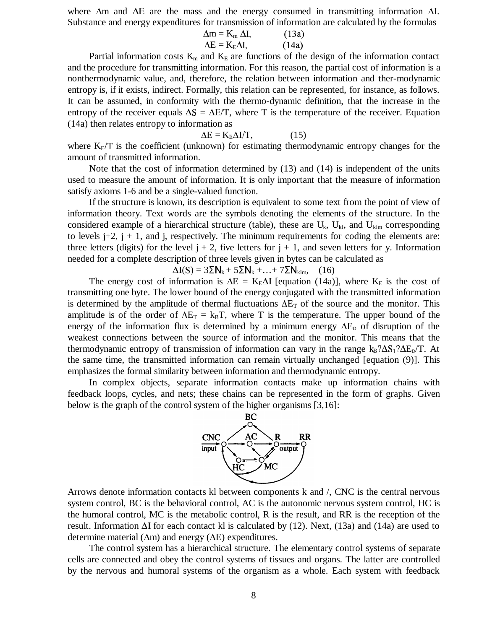where  $\Delta$ m and  $\Delta$ E are the mass and the energy consumed in transmitting information  $\Delta$ I. Substance and energy expenditures for transmission of information are calculated by the formulas

$$
\Delta m = K_m \Delta I, \qquad (13a)
$$
  
\n
$$
\Delta E = K_E \Delta I, \qquad (14a)
$$

Partial information costs  $K_m$  and  $K_E$  are functions of the design of the information contact and the procedure for transmitting information. For this reason, the partial cost of information is a nonthermodynamic value, and, therefore, the relation between information and ther-modynamic entropy is, if it exists, indirect. Formally, this relation can be represented, for instance, as follows. It can be assumed, in conformity with the thermo-dynamic definition, that the increase in the entropy of the receiver equals  $\Delta S = \Delta E/T$ , where T is the temperature of the receiver. Equation (14a) then relates entropy to information as

# $\Delta E = K_E \Delta I/T,$  (15)

where  $K<sub>E</sub>/T$  is the coefficient (unknown) for estimating thermodynamic entropy changes for the amount of transmitted information.

Note that the cost of information determined by (13) and (14) is independent of the units used to measure the amount of information. It is only important that the measure of information satisfy axioms 1-6 and be a single-valued function.

If the structure is known, its description is equivalent to some text from the point of view of information theory. Text words are the symbols denoting the elements of the structure. In the considered example of a hierarchical structure (table), these are  $U_k$ ,  $U_{kl}$ , and  $U_{klm}$  corresponding to levels  $j+2$ ,  $j + 1$ , and j, respectively. The minimum requirements for coding the elements are: three letters (digits) for the level  $j + 2$ , five letters for  $j + 1$ , and seven letters for y. Information needed for a complete description of three levels given in bytes can be calculated as

 $\Delta I(S) = 3\Sigma N_k + 5\Sigma N_k + ... + 7\Sigma N_{klm}$ , (16)

The energy cost of information is  $\Delta E = K_E \Delta I$  [equation (14a)], where  $K_E$  is the cost of transmitting one byte. The lower bound of the energy conjugated with the transmitted information is determined by the amplitude of thermal fluctuations  $\Delta E_T$  of the source and the monitor. This amplitude is of the order of  $\Delta E_T = k_B T$ , where T is the temperature. The upper bound of the energy of the information flux is determined by a minimum energy  $\Delta E_{D}$  of disruption of the weakest connections between the source of information and the monitor. This means that the thermodynamic entropy of transmission of information can vary in the range  $k_B? \Delta S_1? \Delta E_D/T$ . At the same time, the transmitted information can remain virtually unchanged [equation (9)]. This emphasizes the formal similarity between information and thermodynamic entropy.

In complex objects, separate information contacts make up information chains with feedback loops, cycles, and nets; these chains can be represented in the form of graphs. Given below is the graph of the control system of the higher organisms [3,16]:



Arrows denote information contacts kl between components k and /, CNC is the central nervous system control, BC is the behavioral control, AC is the autonomic nervous system control, HC is the humoral control, MC is the metabolic control, R is the result, and RR is the reception of the result. Information  $\Delta I$  for each contact kl is calculated by (12). Next, (13a) and (14a) are used to determine material ( $\Delta m$ ) and energy ( $\Delta E$ ) expenditures.

The control system has a hierarchical structure. The elementary control systems of separate cells are connected and obey the control systems of tissues and organs. The latter are controlled by the nervous and humoral systems of the organism as a whole. Each system with feedback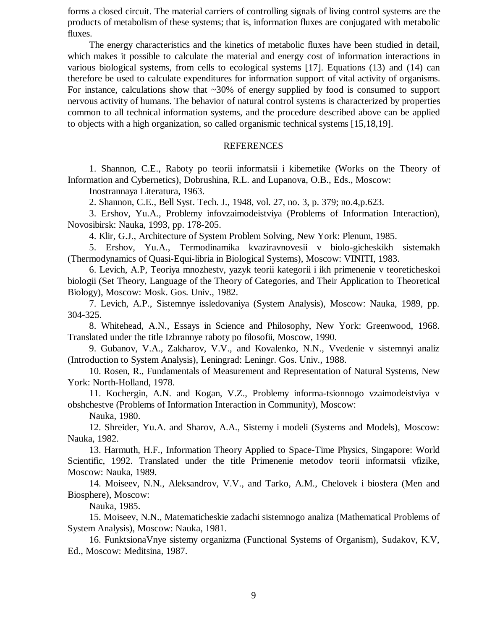forms a closed circuit. The material carriers of controlling signals of living control systems are the products of metabolism of these systems; that is, information fluxes are conjugated with metabolic fluxes.

The energy characteristics and the kinetics of metabolic fluxes have been studied in detail, which makes it possible to calculate the material and energy cost of information interactions in various biological systems, from cells to ecological systems [17]. Equations (13) and (14) can therefore be used to calculate expenditures for information support of vital activity of organisms. For instance, calculations show that  $\sim$ 30% of energy supplied by food is consumed to support nervous activity of humans. The behavior of natural control systems is characterized by properties common to all technical information systems, and the procedure described above can be applied to objects with a high organization, so called organismic technical systems [15,18,19].

#### REFERENCES

1. Shannon, C.E., Raboty po teorii informatsii i kibemetike (Works on the Theory of Information and Cybernetics), Dobrushina, R.L. and Lupanova, O.B., Eds., Moscow:

Inostrannaya Literatura, 1963.

2. Shannon, C.E., Bell Syst. Tech. J., 1948, vol. 27, no. 3, p. 379; no.4,p.623.

3. Ershov, Yu.A., Problemy infovzaimodeistviya (Problems of Information Interaction), Novosibirsk: Nauka, 1993, pp. 178-205.

4. Klir, G.J., Architecture of System Problem Solving, New York: Plenum, 1985.

5. Ershov, Yu.A., Termodinamika kvaziravnovesii v biolo-gicheskikh sistemakh (Thermodynamics of Quasi-Equi-libria in Biological Systems), Moscow: VINITI, 1983.

6. Levich, A.P, Teoriya mnozhestv, yazyk teorii kategorii i ikh primenenie v teoreticheskoi biologii (Set Theory, Language of the Theory of Categories, and Their Application to Theoretical Biology), Moscow: Mosk. Gos. Univ., 1982.

7. Levich, A.P., Sistemnye issledovaniya (System Analysis), Moscow: Nauka, 1989, pp. 304-325.

8. Whitehead, A.N., Essays in Science and Philosophy, New York: Greenwood, 1968. Translated under the title Izbrannye raboty po filosofii, Moscow, 1990.

9. Gubanov, V.A., Zakharov, V.V., and Kovalenko, N.N., Vvedenie v sistemnyi analiz (Introduction to System Analysis), Leningrad: Leningr. Gos. Univ., 1988.

10. Rosen, R., Fundamentals of Measurement and Representation of Natural Systems, New York: North-Holland, 1978.

11. Kochergin, A.N. and Kogan, V.Z., Problemy informa-tsionnogo vzaimodeistviya v obshchestve (Problems of Information Interaction in Community), Moscow:

Nauka, 1980.

12. Shreider, Yu.A. and Sharov, A.A., Sistemy i modeli (Systems and Models), Moscow: Nauka, 1982.

13. Harmuth, H.F., Information Theory Applied to Space-Time Physics, Singapore: World Scientific, 1992. Translated under the title Primenenie metodov teorii informatsii vfizike, Moscow: Nauka, 1989.

14. Moiseev, N.N., Aleksandrov, V.V., and Tarko, A.M., Chelovek i biosfera (Men and Biosphere), Moscow:

Nauka, 1985.

15. Moiseev, N.N., Matematicheskie zadachi sistemnogo analiza (Mathematical Problems of System Analysis), Moscow: Nauka, 1981.

16. FunktsionaVnye sistemy organizma (Functional Systems of Organism), Sudakov, K.V, Ed., Moscow: Meditsina, 1987.